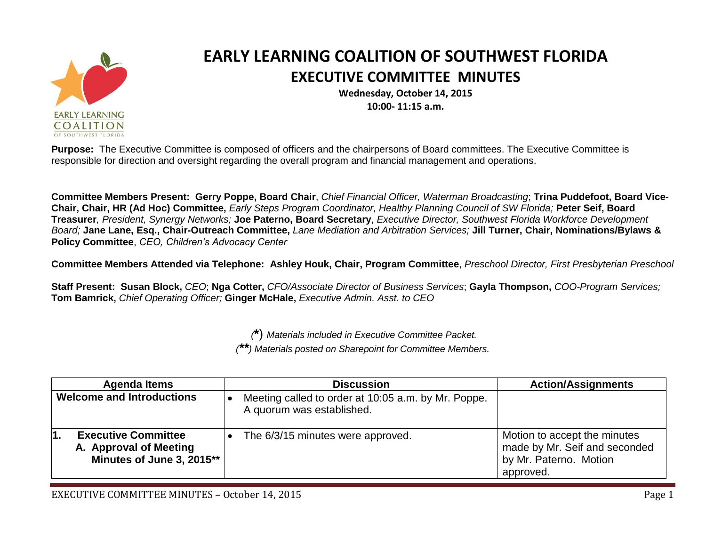

## **EARLY LEARNING COALITION OF SOUTHWEST FLORIDA EXECUTIVE COMMITTEE MINUTES**

**Wednesday, October 14, 2015 10:00- 11:15 a.m.**

**Purpose:** The Executive Committee is composed of officers and the chairpersons of Board committees. The Executive Committee is responsible for direction and oversight regarding the overall program and financial management and operations.

**Committee Members Present: Gerry Poppe, Board Chair**, *Chief Financial Officer, Waterman Broadcasting*; **Trina Puddefoot, Board Vice-Chair, Chair, HR (Ad Hoc) Committee,** *Early Steps Program Coordinator, Healthy Planning Council of SW Florida;* **Peter Seif, Board Treasurer***, President, Synergy Networks;* **Joe Paterno, Board Secretary**, *Executive Director, Southwest Florida Workforce Development Board;* **Jane Lane, Esq., Chair-Outreach Committee,** *Lane Mediation and Arbitration Services;* **Jill Turner, Chair, Nominations/Bylaws & Policy Committee**, *CEO, Children's Advocacy Center*

**Committee Members Attended via Telephone: Ashley Houk, Chair, Program Committee**, *Preschool Director, First Presbyterian Preschool*

**Staff Present: Susan Block,** *CEO*; **Nga Cotter,** *CFO/Associate Director of Business Services*; **Gayla Thompson,** *COO-Program Services;*  **Tom Bamrick,** *Chief Operating Officer;* **Ginger McHale,** *Executive Admin. Asst. to CEO*

> *(***\***) *Materials included in Executive Committee Packet. (\*\*) Materials posted on Sharepoint for Committee Members.*

| <b>Agenda Items</b>                                                               | <b>Discussion</b>                                                                | <b>Action/Assignments</b>                                                                            |
|-----------------------------------------------------------------------------------|----------------------------------------------------------------------------------|------------------------------------------------------------------------------------------------------|
| <b>Welcome and Introductions</b>                                                  | Meeting called to order at 10:05 a.m. by Mr. Poppe.<br>A quorum was established. |                                                                                                      |
| <b>Executive Committee</b><br>A. Approval of Meeting<br>Minutes of June 3, 2015** | The 6/3/15 minutes were approved.                                                | Motion to accept the minutes<br>made by Mr. Seif and seconded<br>by Mr. Paterno. Motion<br>approved. |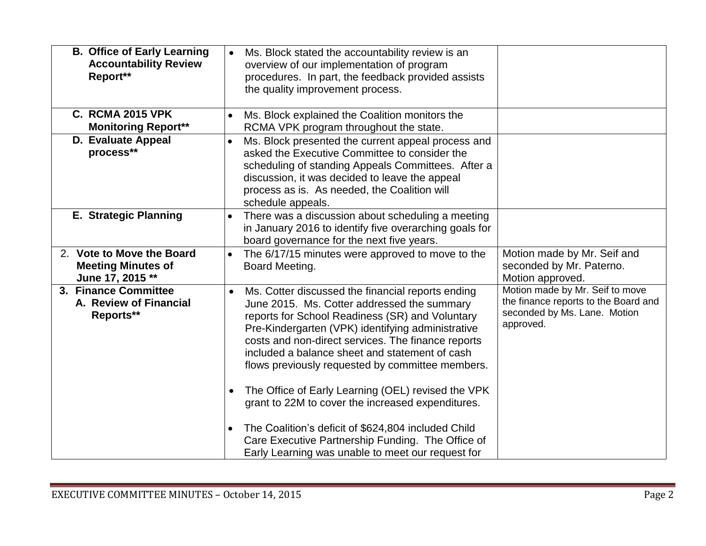| <b>B. Office of Early Learning</b><br><b>Accountability Review</b><br>Report** | Ms. Block stated the accountability review is an<br>$\bullet$<br>overview of our implementation of program<br>procedures. In part, the feedback provided assists<br>the quality improvement process.                                                                                                                                                                                                                                                                                                                                                                                                                                                                       |                                                                                                                      |
|--------------------------------------------------------------------------------|----------------------------------------------------------------------------------------------------------------------------------------------------------------------------------------------------------------------------------------------------------------------------------------------------------------------------------------------------------------------------------------------------------------------------------------------------------------------------------------------------------------------------------------------------------------------------------------------------------------------------------------------------------------------------|----------------------------------------------------------------------------------------------------------------------|
| <b>C. RCMA 2015 VPK</b><br><b>Monitoring Report**</b>                          | Ms. Block explained the Coalition monitors the<br>RCMA VPK program throughout the state.                                                                                                                                                                                                                                                                                                                                                                                                                                                                                                                                                                                   |                                                                                                                      |
| D. Evaluate Appeal<br>process**                                                | Ms. Block presented the current appeal process and<br>$\bullet$<br>asked the Executive Committee to consider the<br>scheduling of standing Appeals Committees. After a<br>discussion, it was decided to leave the appeal<br>process as is. As needed, the Coalition will<br>schedule appeals.                                                                                                                                                                                                                                                                                                                                                                              |                                                                                                                      |
| <b>E. Strategic Planning</b>                                                   | There was a discussion about scheduling a meeting<br>in January 2016 to identify five overarching goals for<br>board governance for the next five years.                                                                                                                                                                                                                                                                                                                                                                                                                                                                                                                   |                                                                                                                      |
| 2. Vote to Move the Board<br><b>Meeting Minutes of</b><br>June 17, 2015 **     | The 6/17/15 minutes were approved to move to the<br>Board Meeting.                                                                                                                                                                                                                                                                                                                                                                                                                                                                                                                                                                                                         | Motion made by Mr. Seif and<br>seconded by Mr. Paterno.<br>Motion approved.                                          |
| 3. Finance Committee<br>A. Review of Financial<br>Reports**                    | Ms. Cotter discussed the financial reports ending<br>June 2015. Ms. Cotter addressed the summary<br>reports for School Readiness (SR) and Voluntary<br>Pre-Kindergarten (VPK) identifying administrative<br>costs and non-direct services. The finance reports<br>included a balance sheet and statement of cash<br>flows previously requested by committee members.<br>The Office of Early Learning (OEL) revised the VPK<br>$\bullet$<br>grant to 22M to cover the increased expenditures.<br>The Coalition's deficit of \$624,804 included Child<br>$\bullet$<br>Care Executive Partnership Funding. The Office of<br>Early Learning was unable to meet our request for | Motion made by Mr. Seif to move<br>the finance reports to the Board and<br>seconded by Ms. Lane. Motion<br>approved. |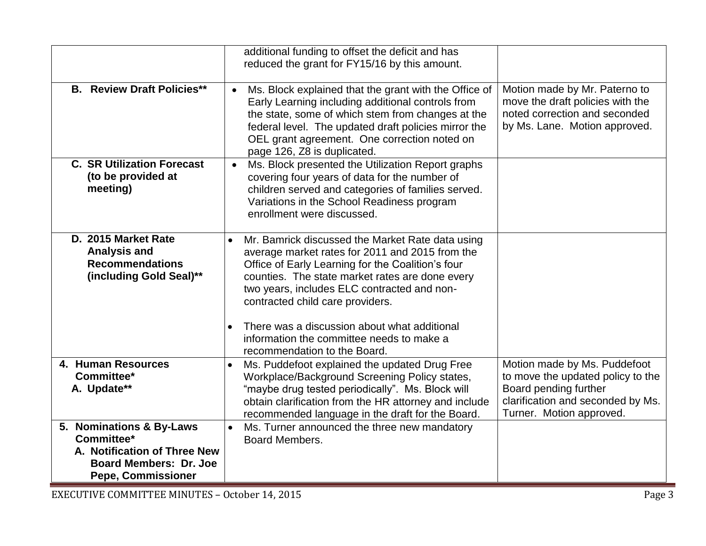|                                                                                                                                      | additional funding to offset the deficit and has<br>reduced the grant for FY15/16 by this amount.                                                                                                                                                                                                                   |                                                                                                                                                             |
|--------------------------------------------------------------------------------------------------------------------------------------|---------------------------------------------------------------------------------------------------------------------------------------------------------------------------------------------------------------------------------------------------------------------------------------------------------------------|-------------------------------------------------------------------------------------------------------------------------------------------------------------|
| <b>B.</b> Review Draft Policies**                                                                                                    | Ms. Block explained that the grant with the Office of<br>$\bullet$<br>Early Learning including additional controls from<br>the state, some of which stem from changes at the<br>federal level. The updated draft policies mirror the<br>OEL grant agreement. One correction noted on<br>page 126, Z8 is duplicated. | Motion made by Mr. Paterno to<br>move the draft policies with the<br>noted correction and seconded<br>by Ms. Lane. Motion approved.                         |
| <b>C. SR Utilization Forecast</b><br>(to be provided at<br>meeting)                                                                  | Ms. Block presented the Utilization Report graphs<br>$\bullet$<br>covering four years of data for the number of<br>children served and categories of families served.<br>Variations in the School Readiness program<br>enrollment were discussed.                                                                   |                                                                                                                                                             |
| D. 2015 Market Rate<br><b>Analysis and</b><br><b>Recommendations</b><br>(including Gold Seal)**                                      | Mr. Bamrick discussed the Market Rate data using<br>$\bullet$<br>average market rates for 2011 and 2015 from the<br>Office of Early Learning for the Coalition's four<br>counties. The state market rates are done every<br>two years, includes ELC contracted and non-<br>contracted child care providers.         |                                                                                                                                                             |
|                                                                                                                                      | There was a discussion about what additional<br>$\bullet$<br>information the committee needs to make a<br>recommendation to the Board.                                                                                                                                                                              |                                                                                                                                                             |
| 4. Human Resources<br>Committee*<br>A. Update**                                                                                      | Ms. Puddefoot explained the updated Drug Free<br>Workplace/Background Screening Policy states,<br>"maybe drug tested periodically". Ms. Block will<br>obtain clarification from the HR attorney and include<br>recommended language in the draft for the Board.                                                     | Motion made by Ms. Puddefoot<br>to move the updated policy to the<br>Board pending further<br>clarification and seconded by Ms.<br>Turner. Motion approved. |
| 5. Nominations & By-Laws<br>Committee*<br>A. Notification of Three New<br><b>Board Members: Dr. Joe</b><br><b>Pepe, Commissioner</b> | Ms. Turner announced the three new mandatory<br>$\bullet$<br>Board Members.                                                                                                                                                                                                                                         |                                                                                                                                                             |